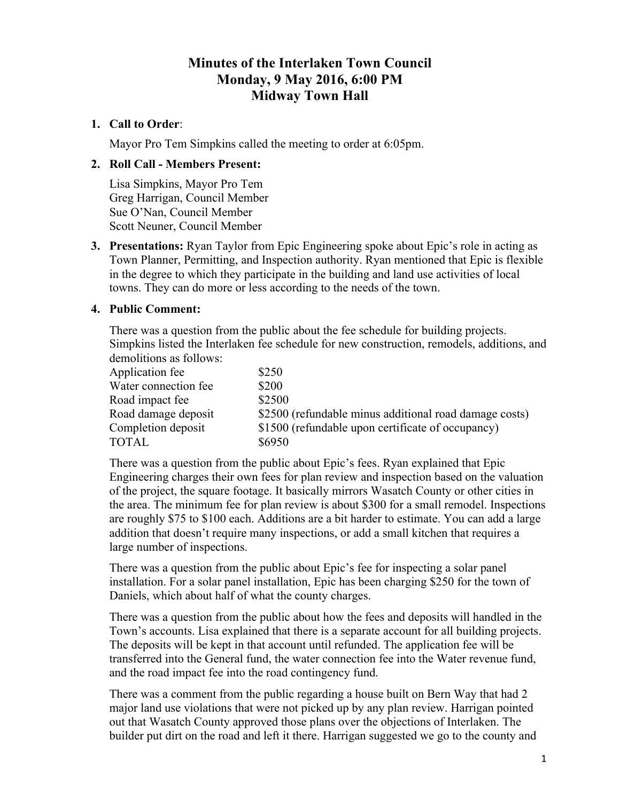# **Minutes of the Interlaken Town Council Monday, 9 May 2016, 6:00 PM Midway Town Hall**

# **1. Call to Order**:

Mayor Pro Tem Simpkins called the meeting to order at 6:05pm.

# **2. Roll Call - Members Present:**

Lisa Simpkins, Mayor Pro Tem Greg Harrigan, Council Member Sue O'Nan, Council Member Scott Neuner, Council Member

**3. Presentations:** Ryan Taylor from Epic Engineering spoke about Epic's role in acting as Town Planner, Permitting, and Inspection authority. Ryan mentioned that Epic is flexible in the degree to which they participate in the building and land use activities of local towns. They can do more or less according to the needs of the town.

# **4. Public Comment:**

There was a question from the public about the fee schedule for building projects. Simpkins listed the Interlaken fee schedule for new construction, remodels, additions, and demolitions as follows:

| Application fee      | \$250                                                  |
|----------------------|--------------------------------------------------------|
| Water connection fee | \$200                                                  |
| Road impact fee      | \$2500                                                 |
| Road damage deposit  | \$2500 (refundable minus additional road damage costs) |
| Completion deposit   | \$1500 (refundable upon certificate of occupancy)      |
| <b>TOTAL</b>         | \$6950                                                 |
|                      |                                                        |

There was a question from the public about Epic's fees. Ryan explained that Epic Engineering charges their own fees for plan review and inspection based on the valuation of the project, the square footage. It basically mirrors Wasatch County or other cities in the area. The minimum fee for plan review is about \$300 for a small remodel. Inspections are roughly \$75 to \$100 each. Additions are a bit harder to estimate. You can add a large addition that doesn't require many inspections, or add a small kitchen that requires a large number of inspections.

There was a question from the public about Epic's fee for inspecting a solar panel installation. For a solar panel installation, Epic has been charging \$250 for the town of Daniels, which about half of what the county charges.

There was a question from the public about how the fees and deposits will handled in the Town's accounts. Lisa explained that there is a separate account for all building projects. The deposits will be kept in that account until refunded. The application fee will be transferred into the General fund, the water connection fee into the Water revenue fund, and the road impact fee into the road contingency fund.

There was a comment from the public regarding a house built on Bern Way that had 2 major land use violations that were not picked up by any plan review. Harrigan pointed out that Wasatch County approved those plans over the objections of Interlaken. The builder put dirt on the road and left it there. Harrigan suggested we go to the county and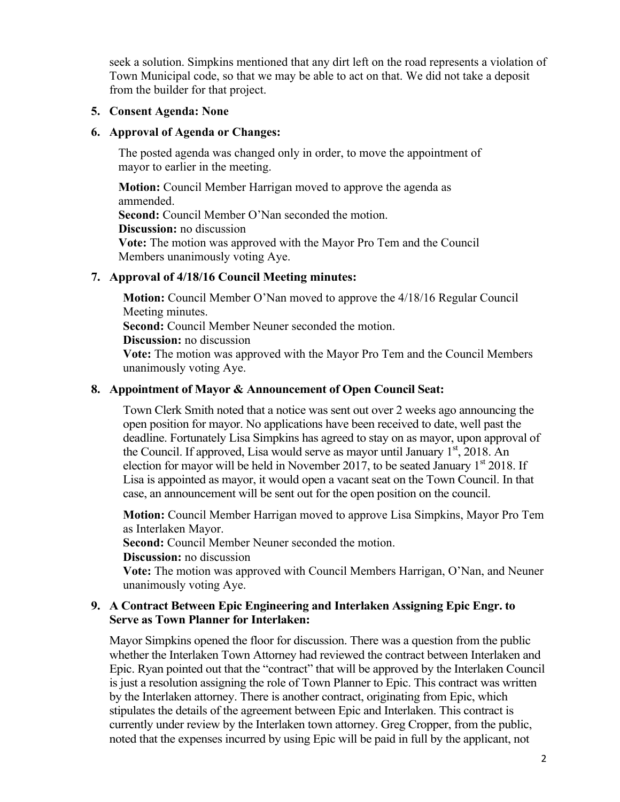seek a solution. Simpkins mentioned that any dirt left on the road represents a violation of Town Municipal code, so that we may be able to act on that. We did not take a deposit from the builder for that project.

## **5. Consent Agenda: None**

## **6. Approval of Agenda or Changes:**

The posted agenda was changed only in order, to move the appointment of mayor to earlier in the meeting.

**Motion:** Council Member Harrigan moved to approve the agenda as ammended. **Second:** Council Member O'Nan seconded the motion. **Discussion:** no discussion **Vote:** The motion was approved with the Mayor Pro Tem and the Council Members unanimously voting Aye.

# **7. Approval of 4/18/16 Council Meeting minutes:**

**Motion:** Council Member O'Nan moved to approve the 4/18/16 Regular Council Meeting minutes.

**Second:** Council Member Neuner seconded the motion.

**Discussion:** no discussion

**Vote:** The motion was approved with the Mayor Pro Tem and the Council Members unanimously voting Aye.

## **8. Appointment of Mayor & Announcement of Open Council Seat:**

Town Clerk Smith noted that a notice was sent out over 2 weeks ago announcing the open position for mayor. No applications have been received to date, well past the deadline. Fortunately Lisa Simpkins has agreed to stay on as mayor, upon approval of the Council. If approved, Lisa would serve as mayor until January  $1<sup>st</sup>$ , 2018. An election for mayor will be held in November 2017, to be seated January  $1<sup>st</sup>$  2018. If Lisa is appointed as mayor, it would open a vacant seat on the Town Council. In that case, an announcement will be sent out for the open position on the council.

**Motion:** Council Member Harrigan moved to approve Lisa Simpkins, Mayor Pro Tem as Interlaken Mayor.

**Second:** Council Member Neuner seconded the motion.

**Discussion:** no discussion

**Vote:** The motion was approved with Council Members Harrigan, O'Nan, and Neuner unanimously voting Aye.

## **9. A Contract Between Epic Engineering and Interlaken Assigning Epic Engr. to Serve as Town Planner for Interlaken:**

Mayor Simpkins opened the floor for discussion. There was a question from the public whether the Interlaken Town Attorney had reviewed the contract between Interlaken and Epic. Ryan pointed out that the "contract" that will be approved by the Interlaken Council is just a resolution assigning the role of Town Planner to Epic. This contract was written by the Interlaken attorney. There is another contract, originating from Epic, which stipulates the details of the agreement between Epic and Interlaken. This contract is currently under review by the Interlaken town attorney. Greg Cropper, from the public, noted that the expenses incurred by using Epic will be paid in full by the applicant, not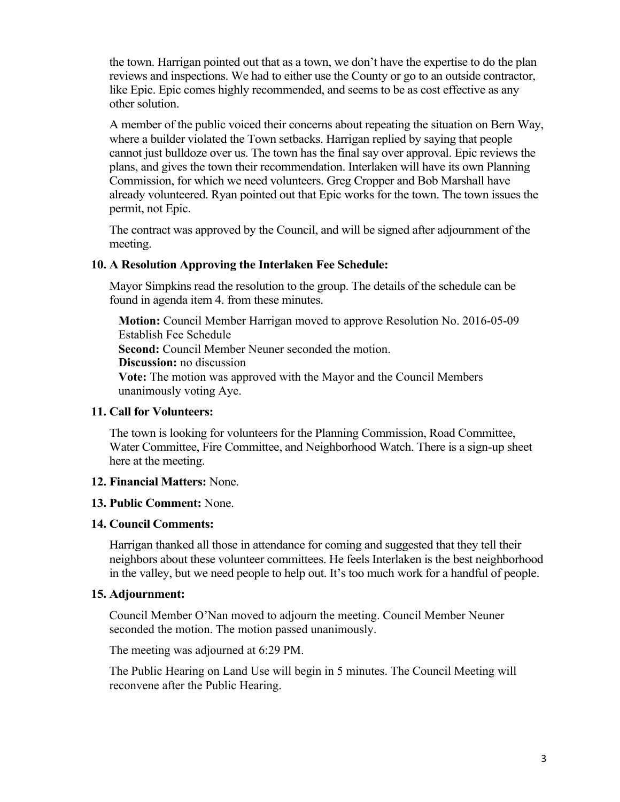the town. Harrigan pointed out that as a town, we don't have the expertise to do the plan reviews and inspections. We had to either use the County or go to an outside contractor, like Epic. Epic comes highly recommended, and seems to be as cost effective as any other solution.

A member of the public voiced their concerns about repeating the situation on Bern Way, where a builder violated the Town setbacks. Harrigan replied by saying that people cannot just bulldoze over us. The town has the final say over approval. Epic reviews the plans, and gives the town their recommendation. Interlaken will have its own Planning Commission, for which we need volunteers. Greg Cropper and Bob Marshall have already volunteered. Ryan pointed out that Epic works for the town. The town issues the permit, not Epic.

The contract was approved by the Council, and will be signed after adjournment of the meeting.

#### **10. A Resolution Approving the Interlaken Fee Schedule:**

Mayor Simpkins read the resolution to the group. The details of the schedule can be found in agenda item 4. from these minutes.

**Motion:** Council Member Harrigan moved to approve Resolution No. 2016-05-09 Establish Fee Schedule **Second:** Council Member Neuner seconded the motion. **Discussion:** no discussion **Vote:** The motion was approved with the Mayor and the Council Members unanimously voting Aye.

### **11. Call for Volunteers:**

The town is looking for volunteers for the Planning Commission, Road Committee, Water Committee, Fire Committee, and Neighborhood Watch. There is a sign-up sheet here at the meeting.

#### **12. Financial Matters:** None.

#### **13. Public Comment:** None.

### **14. Council Comments:**

Harrigan thanked all those in attendance for coming and suggested that they tell their neighbors about these volunteer committees. He feels Interlaken is the best neighborhood in the valley, but we need people to help out. It's too much work for a handful of people.

#### **15. Adjournment:**

Council Member O'Nan moved to adjourn the meeting. Council Member Neuner seconded the motion. The motion passed unanimously.

The meeting was adjourned at 6:29 PM.

The Public Hearing on Land Use will begin in 5 minutes. The Council Meeting will reconvene after the Public Hearing.